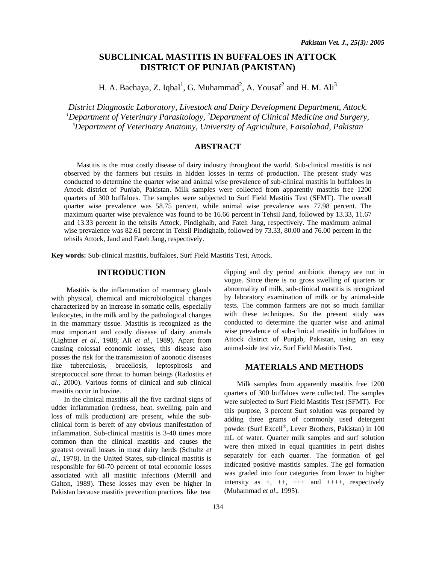# **SUBCLINICAL MASTITIS IN BUFFALOES IN ATTOCK DISTRICT OF PUNJAB (PAKISTAN)**

H. A. Bachaya, Z. Iqbal<sup>1</sup>, G. Muhammad<sup>2</sup>, A. Yousaf<sup>2</sup> and H. M. Ali<sup>3</sup>

*District Diagnostic Laboratory, Livestock and Dairy Development Department, Attock. 1 Department of Veterinary Parasitology, 2 Department of Clinical Medicine and Surgery, 3 Department of Veterinary Anatomy, University of Agriculture, Faisalabad, Pakistan* 

# **ABSTRACT**

Mastitis is the most costly disease of dairy industry throughout the world. Sub-clinical mastitis is not observed by the farmers but results in hidden losses in terms of production. The present study was conducted to determine the quarter wise and animal wise prevalence of sub-clinical mastitis in buffaloes in Attock district of Punjab, Pakistan. Milk samples were collected from apparently mastitis free 1200 quarters of 300 buffaloes. The samples were subjected to Surf Field Mastitis Test (SFMT). The overall quarter wise prevalence was 58.75 percent, while animal wise prevalence was 77.98 percent. The maximum quarter wise prevalence was found to be 16.66 percent in Tehsil Jand, followed by 13.33, 11.67 and 13.33 percent in the tehsils Attock, Pindighaib, and Fateh Jang, respectively. The maximum animal wise prevalence was 82.61 percent in Tehsil Pindighaib, followed by 73.33, 80.00 and 76.00 percent in the tehsils Attock, Jand and Fateh Jang, respectively.

**Key words:** Sub-clinical mastitis, buffaloes, Surf Field Mastitis Test, Attock.

## **INTRODUCTION**

Mastitis is the inflammation of mammary glands with physical, chemical and microbiological changes characterized by an increase in somatic cells, especially leukocytes, in the milk and by the pathological changes in the mammary tissue. Mastitis is recognized as the most important and costly disease of dairy animals (Lightner *et al*., 1988; Ali *et al*., 1989). Apart from causing colossal economic losses, this disease also posses the risk for the transmission of zoonotic diseases like tuberculosis, brucellosis, leptospirosis and streptococcal sore throat to human beings (Radostits *et al*., 2000). Various forms of clinical and sub clinical mastitis occur in bovine.

In the clinical mastitis all the five cardinal signs of udder inflammation (redness, heat, swelling, pain and loss of milk production) are present, while the subclinical form is bereft of any obvious manifestation of inflammation. Sub-clinical mastitis is 3-40 times more common than the clinical mastitis and causes the greatest overall losses in most dairy herds (Schultz *et al.*, 1978). In the United States, sub-clinical mastitis is responsible for 60-70 percent of total economic losses associated with all mastitic infections (Merrill and Galton, 1989). These losses may even be higher in Pakistan because mastitis prevention practices like teat

dipping and dry period antibiotic therapy are not in vogue. Since there is no gross swelling of quarters or abnormality of milk, sub-clinical mastitis is recognized by laboratory examination of milk or by animal-side tests. The common farmers are not so much familiar with these techniques. So the present study was conducted to determine the quarter wise and animal wise prevalence of sub-clinical mastitis in buffaloes in Attock district of Punjab, Pakistan, using an easy animal-side test viz. Surf Field Mastitis Test.

# **MATERIALS AND METHODS**

Milk samples from apparently mastitis free 1200 quarters of 300 buffaloes were collected. The samples were subjected to Surf Field Mastitis Test (SFMT). For this purpose, 3 percent Surf solution was prepared by adding three grams of commonly used detergent powder (Surf Excell®, Lever Brothers, Pakistan) in 100 mL of water. Quarter milk samples and surf solution were then mixed in equal quantities in petri dishes separately for each quarter. The formation of gel indicated positive mastitis samples. The gel formation was graded into four categories from lower to higher intensity as  $+,$   $++$ ,  $++$  and  $++$ , respectively (Muhammad *et al*., 1995).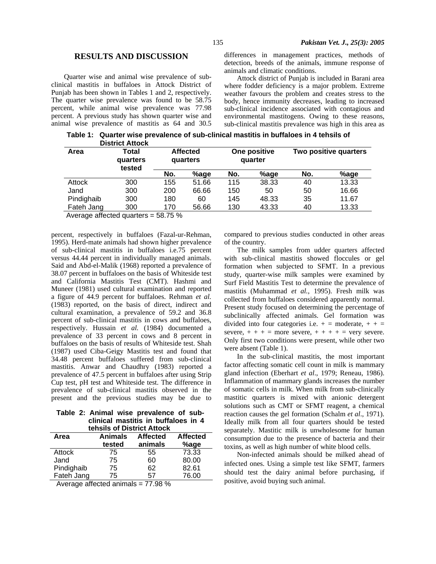## **RESULTS AND DISCUSSION**

Quarter wise and animal wise prevalence of subclinical mastitis in buffaloes in Attock District of Punjab has been shown in Tables 1 and 2, respectively. The quarter wise prevalence was found to be 58.75 percent, while animal wise prevalence was 77.98 percent. A previous study has shown quarter wise and animal wise prevalence of mastitis as 64 and 30.5

differences in management practices, methods of detection, breeds of the animals, immune response of animals and climatic conditions.

Attock district of Punjab is included in Barani area where fodder deficiency is a major problem. Extreme weather favours the problem and creates stress to the body, hence immunity decreases, leading to increased sub-clinical incidence associated with contagious and environmental mastitogens. Owing to these reasons, sub-clinical mastitis prevalence was high in this area as

 **Table 1: Quarter wise prevalence of sub-clinical mastitis in buffaloes in 4 tehsils of District Attock** 

| Area       | Total<br>quarters<br>tested | <b>Affected</b><br>quarters |       | One positive<br>quarter |       | Two positive quarters |       |
|------------|-----------------------------|-----------------------------|-------|-------------------------|-------|-----------------------|-------|
|            |                             | No.                         | %age  | No.                     | %age  | No.                   | %age  |
| Attock     | 300                         | 155                         | 51.66 | 115                     | 38.33 | 40                    | 13.33 |
| Jand       | 300                         | 200                         | 66.66 | 150                     | 50    | 50                    | 16.66 |
| Pindighaib | 300                         | 180                         | 60    | 145                     | 48.33 | 35                    | 11.67 |
| Fateh Jang | 300                         | 170                         | 56.66 | 130                     | 43.33 | 40                    | 13.33 |

Average affected quarters = 58.75 %

percent, respectively in buffaloes (Fazal-ur-Rehman, 1995). Herd-mate animals had shown higher prevalence of sub-clinical mastitis in buffaloes i.e.75 percent versus 44.44 percent in individually managed animals. Said and Abd-el-Malik (1968) reported a prevalence of 38.07 percent in buffaloes on the basis of Whiteside test and California Mastitis Test (CMT). Hashmi and Muneer (1981) used cultural examination and reported a figure of 44.9 percent for buffaloes. Rehman *et al.* (1983) reported, on the basis of direct, indirect and cultural examination, a prevalence of 59.2 and 36.8 percent of sub-clinical mastitis in cows and buffaloes, respectively. Hussain *et al.* (1984) documented a prevalence of 33 percent in cows and 8 percent in buffaloes on the basis of results of Whiteside test. Shah (1987) used Ciba-Geigy Mastitis test and found that 34.48 percent buffaloes suffered from sub-clinical mastitis. Anwar and Chaudhry (1983) reported a prevalence of 47.5 percent in buffaloes after using Strip Cup test, pH test and Whiteside test. The difference in prevalence of sub-clinical mastitis observed in the present and the previous studies may be due to

**Table 2: Animal wise prevalence of subclinical mastitis in buffaloes in 4 tehsils of District Attock** 

| Area       | Animals<br>tested | <b>Affected</b><br>animals | <b>Affected</b><br>%age |
|------------|-------------------|----------------------------|-------------------------|
| Attock     | 75                | 55                         | 73.33                   |
| Jand       | 75                | 60                         | 80.00                   |
| Pindighaib | 75                | 62                         | 82.61                   |
| Fateh Jang | 75                | 57                         | 76.00                   |

Average affected animals = 77.98 %

compared to previous studies conducted in other areas of the country.

The milk samples from udder quarters affected with sub-clinical mastitis showed floccules or gel formation when subjected to SFMT. In a previous study, quarter-wise milk samples were examined by Surf Field Mastitis Test to determine the prevalence of mastitis (Muhammad *et al.*, 1995). Fresh milk was collected from buffaloes considered apparently normal. Present study focused on determining the percentage of subclinically affected animals. Gel formation was divided into four categories i.e.  $+ =$  moderate,  $+ + =$ severe,  $+++$  = more severe,  $+++$  = very severe. Only first two conditions were present, while other two were absent (Table 1).

In the sub-clinical mastitis, the most important factor affecting somatic cell count in milk is mammary gland infection (Eberhart *et al*., 1979; Reneau, 1986). Inflammation of mammary glands increases the number of somatic cells in milk. When milk from sub-clinically mastitic quarters is mixed with anionic detergent solutions such as CMT or SFMT reagent, a chemical reaction causes the gel formation (Schalm *et al*., 1971). Ideally milk from all four quarters should be tested separately. Mastitic milk is unwholesome for human consumption due to the presence of bacteria and their toxins, as well as high number of white blood cells.

Non-infected animals should be milked ahead of infected ones. Using a simple test like SFMT, farmers should test the dairy animal before purchasing, if positive, avoid buying such animal.